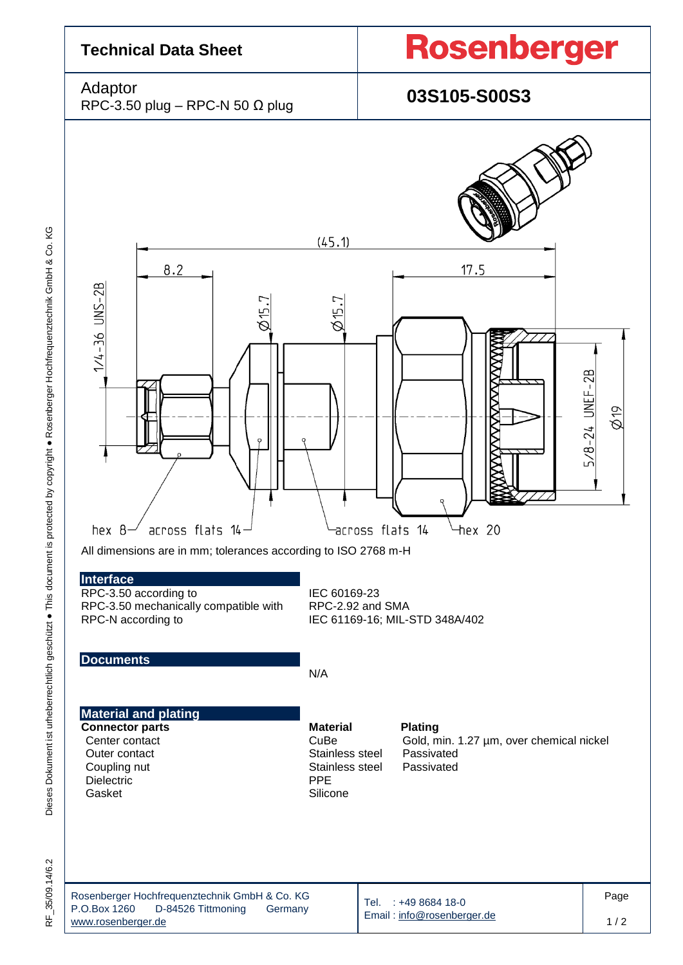

35/09.14/6.2  $\frac{\mu}{\alpha}$